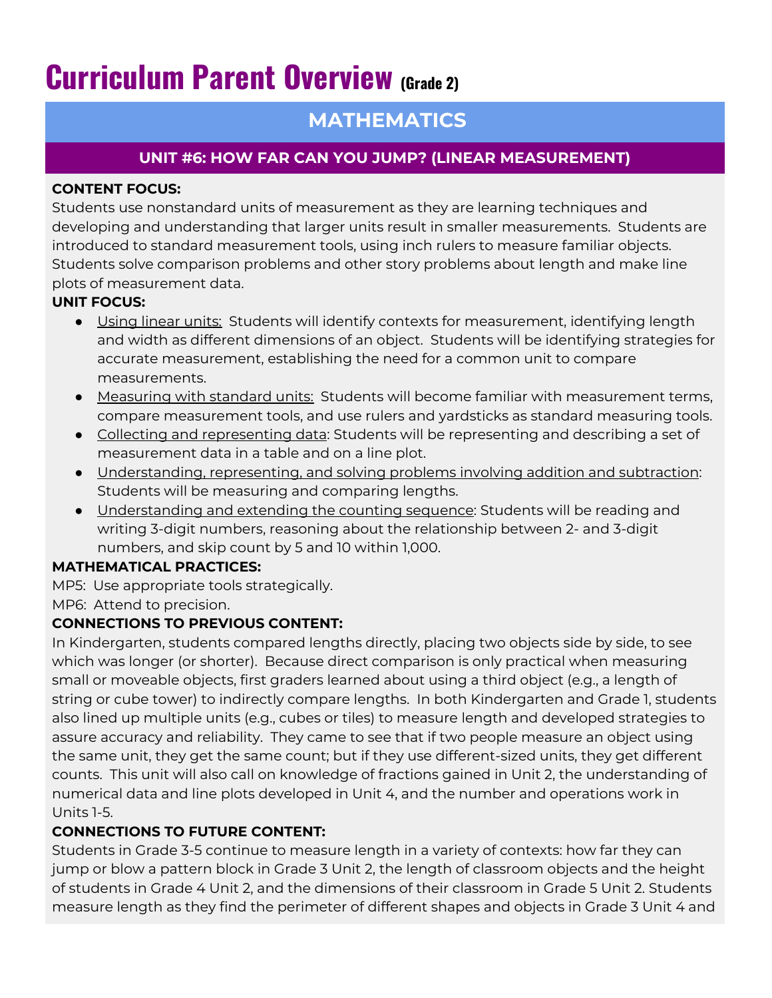# **Curriculum Parent Overview (Grade 2)**

# **MATHEMATICS**

# **UNIT #6: HOW FAR CAN YOU JUMP? (LINEAR MEASUREMENT)**

#### **CONTENT FOCUS:**

Students use nonstandard units of measurement as they are learning techniques and developing and understanding that larger units result in smaller measurements. Students are introduced to standard measurement tools, using inch rulers to measure familiar objects. Students solve comparison problems and other story problems about length and make line plots of measurement data.

#### **UNIT FOCUS:**

- Using linear units: Students will identify contexts for measurement, identifying length and width as different dimensions of an object. Students will be identifying strategies for accurate measurement, establishing the need for a common unit to compare measurements.
- **•** Measuring with standard units: Students will become familiar with measurement terms, compare measurement tools, and use rulers and yardsticks as standard measuring tools.
- Collecting and representing data: Students will be representing and describing a set of measurement data in a table and on a line plot.
- Understanding, representing, and solving problems involving addition and subtraction: Students will be measuring and comparing lengths.
- Understanding and extending the counting sequence: Students will be reading and writing 3-digit numbers, reasoning about the relationship between 2- and 3-digit numbers, and skip count by 5 and 10 within 1,000.

#### **MATHEMATICAL PRACTICES:**

MP5: Use appropriate tools strategically.

MP6: Attend to precision.

## **CONNECTIONS TO PREVIOUS CONTENT:**

In Kindergarten, students compared lengths directly, placing two objects side by side, to see which was longer (or shorter). Because direct comparison is only practical when measuring small or moveable objects, first graders learned about using a third object (e.g., a length of string or cube tower) to indirectly compare lengths. In both Kindergarten and Grade 1, students also lined up multiple units (e.g., cubes or tiles) to measure length and developed strategies to assure accuracy and reliability. They came to see that if two people measure an object using the same unit, they get the same count; but if they use different-sized units, they get different counts. This unit will also call on knowledge of fractions gained in Unit 2, the understanding of numerical data and line plots developed in Unit 4, and the number and operations work in Units 1-5.

## **CONNECTIONS TO FUTURE CONTENT:**

Students in Grade 3-5 continue to measure length in a variety of contexts: how far they can jump or blow a pattern block in Grade 3 Unit 2, the length of classroom objects and the height of students in Grade 4 Unit 2, and the dimensions of their classroom in Grade 5 Unit 2. Students measure length as they find the perimeter of different shapes and objects in Grade 3 Unit 4 and